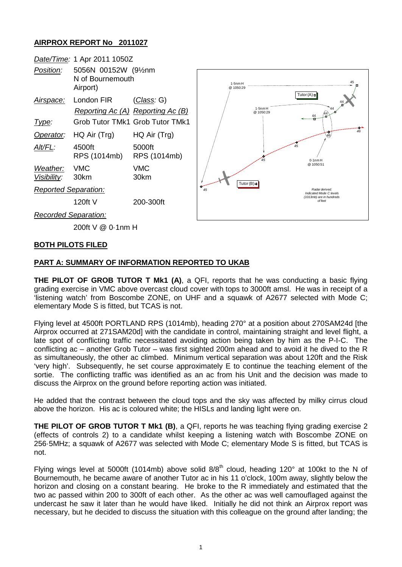## **AIRPROX REPORT No 2011027**



#### **BOTH PILOTS FILED**

### **PART A: SUMMARY OF INFORMATION REPORTED TO UKAB**

**THE PILOT OF GROB TUTOR T Mk1 (A)**, a QFI, reports that he was conducting a basic flying grading exercise in VMC above overcast cloud cover with tops to 3000ft amsl. He was in receipt of a 'listening watch' from Boscombe ZONE, on UHF and a squawk of A2677 selected with Mode C; elementary Mode S is fitted, but TCAS is not.

Flying level at 4500ft PORTLAND RPS (1014mb), heading 270° at a position about 270SAM24d [the Airprox occurred at 271SAM20d] with the candidate in control, maintaining straight and level flight, a late spot of conflicting traffic necessitated avoiding action being taken by him as the P-I-C. The conflicting ac – another Grob Tutor – was first sighted 200m ahead and to avoid it he dived to the R as simultaneously, the other ac climbed. Minimum vertical separation was about 120ft and the Risk 'very high'. Subsequently, he set course approximately E to continue the teaching element of the sortie. The conflicting traffic was identified as an ac from his Unit and the decision was made to discuss the Airprox on the ground before reporting action was initiated.

He added that the contrast between the cloud tops and the sky was affected by milky cirrus cloud above the horizon. His ac is coloured white; the HISLs and landing light were on.

**THE PILOT OF GROB TUTOR T Mk1 (B)**, a QFI, reports he was teaching flying grading exercise 2 (effects of controls 2) to a candidate whilst keeping a listening watch with Boscombe ZONE on 256·5MHz; a squawk of A2677 was selected with Mode C; elementary Mode S is fitted, but TCAS is not.

Flying wings level at 5000ft (1014mb) above solid  $8/8^{th}$  cloud, heading 120° at 100kt to the N of Bournemouth, he became aware of another Tutor ac in his 11 o'clock, 100m away, slightly below the horizon and closing on a constant bearing. He broke to the R immediately and estimated that the two ac passed within 200 to 300ft of each other. As the other ac was well camouflaged against the undercast he saw it later than he would have liked. Initially he did not think an Airprox report was necessary, but he decided to discuss the situation with this colleague on the ground after landing; the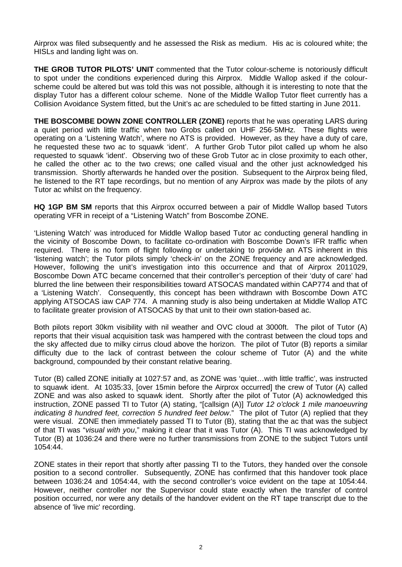Airprox was filed subsequently and he assessed the Risk as medium. His ac is coloured white; the HISLs and landing light was on.

**THE GROB TUTOR PILOTS' UNIT** commented that the Tutor colour-scheme is notoriously difficult to spot under the conditions experienced during this Airprox. Middle Wallop asked if the colourscheme could be altered but was told this was not possible, although it is interesting to note that the display Tutor has a different colour scheme. None of the Middle Wallop Tutor fleet currently has a Collision Avoidance System fitted, but the Unit's ac are scheduled to be fitted starting in June 2011.

**THE BOSCOMBE DOWN ZONE CONTROLLER (ZONE)** reports that he was operating LARS during a quiet period with little traffic when two Grobs called on UHF 256·5MHz. These flights were operating on a 'Listening Watch', where no ATS is provided. However, as they have a duty of care, he requested these two ac to squawk 'ident'. A further Grob Tutor pilot called up whom he also requested to squawk 'ident'. Observing two of these Grob Tutor ac in close proximity to each other, he called the other ac to the two crews; one called visual and the other just acknowledged his transmission. Shortly afterwards he handed over the position. Subsequent to the Airprox being filed, he listened to the RT tape recordings, but no mention of any Airprox was made by the pilots of any Tutor ac whilst on the frequency.

**HQ 1GP BM SM** reports that this Airprox occurred between a pair of Middle Wallop based Tutors operating VFR in receipt of a "Listening Watch" from Boscombe ZONE.

'Listening Watch' was introduced for Middle Wallop based Tutor ac conducting general handling in the vicinity of Boscombe Down, to facilitate co-ordination with Boscombe Down's IFR traffic when required. There is no form of flight following or undertaking to provide an ATS inherent in this 'listening watch'; the Tutor pilots simply 'check-in' on the ZONE frequency and are acknowledged. However, following the unit's investigation into this occurrence and that of Airprox 2011029, Boscombe Down ATC became concerned that their controller's perception of their 'duty of care' had blurred the line between their responsibilities toward ATSOCAS mandated within CAP774 and that of a 'Listening Watch'. Consequently, this concept has been withdrawn with Boscombe Down ATC applying ATSOCAS iaw CAP 774. A manning study is also being undertaken at Middle Wallop ATC to facilitate greater provision of ATSOCAS by that unit to their own station-based ac.

Both pilots report 30km visibility with nil weather and OVC cloud at 3000ft. The pilot of Tutor (A) reports that their visual acquisition task was hampered with the contrast between the cloud tops and the sky affected due to milky cirrus cloud above the horizon. The pilot of Tutor (B) reports a similar difficulty due to the lack of contrast between the colour scheme of Tutor (A) and the white background, compounded by their constant relative bearing.

Tutor (B) called ZONE initially at 1027:57 and, as ZONE was 'quiet…with little traffic', was instructed to squawk ident. At 1035:33, [over 15min before the Airprox occurred] the crew of Tutor (A) called ZONE and was also asked to squawk ident. Shortly after the pilot of Tutor (A) acknowledged this instruction, ZONE passed TI to Tutor (A) stating, "[callsign (A)] *Tutor 12 o'clock 1 mile manoeuvring indicating 8 hundred feet, correction 5 hundred feet below*." The pilot of Tutor (A) replied that they were visual. ZONE then immediately passed TI to Tutor (B), stating that the ac that was the subject of that TI was "*visual with you*," making it clear that it was Tutor (A). This TI was acknowledged by Tutor (B) at 1036:24 and there were no further transmissions from ZONE to the subject Tutors until 1054:44.

ZONE states in their report that shortly after passing TI to the Tutors, they handed over the console position to a second controller. Subsequently, ZONE has confirmed that this handover took place between 1036:24 and 1054:44, with the second controller's voice evident on the tape at 1054:44. However, neither controller nor the Supervisor could state exactly when the transfer of control position occurred, nor were any details of the handover evident on the RT tape transcript due to the absence of 'live mic' recording.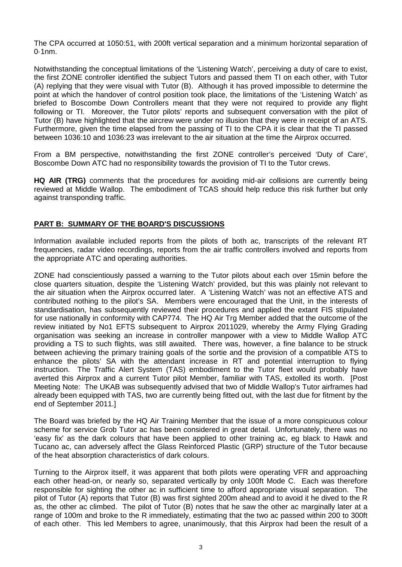The CPA occurred at 1050:51, with 200ft vertical separation and a minimum horizontal separation of 0·1nm.

Notwithstanding the conceptual limitations of the 'Listening Watch', perceiving a duty of care to exist, the first ZONE controller identified the subject Tutors and passed them TI on each other, with Tutor (A) replying that they were visual with Tutor (B). Although it has proved impossible to determine the point at which the handover of control position took place, the limitations of the 'Listening Watch' as briefed to Boscombe Down Controllers meant that they were not required to provide any flight following or TI. Moreover, the Tutor pilots' reports and subsequent conversation with the pilot of Tutor (B) have highlighted that the aircrew were under no illusion that they were in receipt of an ATS. Furthermore, given the time elapsed from the passing of TI to the CPA it is clear that the TI passed between 1036:10 and 1036:23 was irrelevant to the air situation at the time the Airprox occurred.

From a BM perspective, notwithstanding the first ZONE controller's perceived 'Duty of Care', Boscombe Down ATC had no responsibility towards the provision of TI to the Tutor crews.

**HQ AIR (TRG)** comments that the procedures for avoiding mid-air collisions are currently being reviewed at Middle Wallop. The embodiment of TCAS should help reduce this risk further but only against transponding traffic.

### **PART B: SUMMARY OF THE BOARD'S DISCUSSIONS**

Information available included reports from the pilots of both ac, transcripts of the relevant RT frequencies, radar video recordings, reports from the air traffic controllers involved and reports from the appropriate ATC and operating authorities.

ZONE had conscientiously passed a warning to the Tutor pilots about each over 15min before the close quarters situation, despite the 'Listening Watch' provided, but this was plainly not relevant to the air situation when the Airprox occurred later. A 'Listening Watch' was not an effective ATS and contributed nothing to the pilot's SA. Members were encouraged that the Unit, in the interests of standardisation, has subsequently reviewed their procedures and applied the extant FIS stipulated for use nationally in conformity with CAP774. The HQ Air Trg Member added that the outcome of the review initiated by No1 EFTS subsequent to Airprox 2011029, whereby the Army Flying Grading organisation was seeking an increase in controller manpower with a view to Middle Wallop ATC providing a TS to such flights, was still awaited. There was, however, a fine balance to be struck between achieving the primary training goals of the sortie and the provision of a compatible ATS to enhance the pilots' SA with the attendant increase in RT and potential interruption to flying instruction. The Traffic Alert System (TAS) embodiment to the Tutor fleet would probably have averted this Airprox and a current Tutor pilot Member, familiar with TAS, extolled its worth. [Post Meeting Note: The UKAB was subsequently advised that two of Middle Wallop's Tutor airframes had already been equipped with TAS, two are currently being fitted out, with the last due for fitment by the end of September 2011.]

The Board was briefed by the HQ Air Training Member that the issue of a more conspicuous colour scheme for service Grob Tutor ac has been considered in great detail. Unfortunately, there was no 'easy fix' as the dark colours that have been applied to other training ac, eg black to Hawk and Tucano ac, can adversely affect the Glass Reinforced Plastic (GRP) structure of the Tutor because of the heat absorption characteristics of dark colours.

Turning to the Airprox itself, it was apparent that both pilots were operating VFR and approaching each other head-on, or nearly so, separated vertically by only 100ft Mode C. Each was therefore responsible for sighting the other ac in sufficient time to afford appropriate visual separation. The pilot of Tutor (A) reports that Tutor (B) was first sighted 200m ahead and to avoid it he dived to the R as, the other ac climbed. The pilot of Tutor (B) notes that he saw the other ac marginally later at a range of 100m and broke to the R immediately, estimating that the two ac passed within 200 to 300ft of each other. This led Members to agree, unanimously, that this Airprox had been the result of a